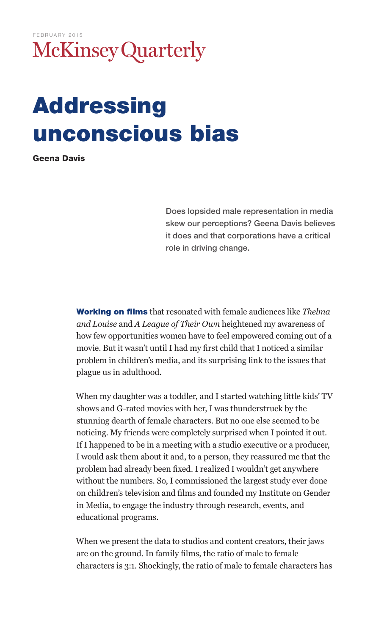## FEBRUARY 2015McKinsey Quarterly

## Addressing unconscious bias

Geena Davis

Does lopsided male representation in media skew our perceptions? Geena Davis believes it does and that corporations have a critical role in driving change.

Working on films that resonated with female audiences like *Thelma and Louise* and *A League of Their Own* heightened my awareness of how few opportunities women have to feel empowered coming out of a movie. But it wasn't until I had my first child that I noticed a similar problem in children's media, and its surprising link to the issues that plague us in adulthood.

When my daughter was a toddler, and I started watching little kids' TV shows and G-rated movies with her, I was thunderstruck by the stunning dearth of female characters. But no one else seemed to be noticing. My friends were completely surprised when I pointed it out. If I happened to be in a meeting with a studio executive or a producer, I would ask them about it and, to a person, they reassured me that the problem had already been fixed. I realized I wouldn't get anywhere without the numbers. So, I commissioned the largest study ever done on children's television and films and founded my Institute on Gender in Media, to engage the industry through research, events, and educational programs.

When we present the data to studios and content creators, their jaws are on the ground. In family films, the ratio of male to female characters is 3:1. Shockingly, the ratio of male to female characters has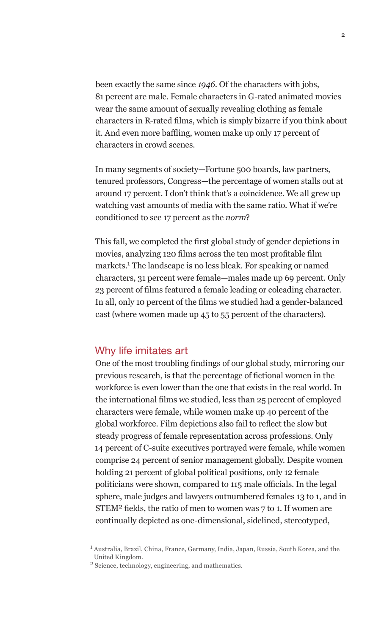been exactly the same since *1946*. Of the characters with jobs, 81 percent are male. Female characters in G-rated animated movies wear the same amount of sexually revealing clothing as female characters in R-rated films, which is simply bizarre if you think about it. And even more baffling, women make up only 17 percent of characters in crowd scenes.

In many segments of society—Fortune 500 boards, law partners, tenured professors, Congress—the percentage of women stalls out at around 17 percent. I don't think that's a coincidence. We all grew up watching vast amounts of media with the same ratio. What if we're conditioned to see 17 percent as the *norm*?

This fall, we completed the first global study of gender depictions in movies, analyzing 120 films across the ten most profitable film markets.1 The landscape is no less bleak. For speaking or named characters, 31 percent were female—males made up 69 percent. Only 23 percent of films featured a female leading or coleading character. In all, only 10 percent of the films we studied had a gender-balanced cast (where women made up 45 to 55 percent of the characters).

## Why life imitates art

One of the most troubling findings of our global study, mirroring our previous research, is that the percentage of fictional women in the workforce is even lower than the one that exists in the real world. In the international films we studied, less than 25 percent of employed characters were female, while women make up 40 percent of the global workforce. Film depictions also fail to reflect the slow but steady progress of female representation across professions. Only 14 percent of C-suite executives portrayed were female, while women comprise 24 percent of senior management globally. Despite women holding 21 percent of global political positions, only 12 female politicians were shown, compared to 115 male officials. In the legal sphere, male judges and lawyers outnumbered females 13 to 1, and in STEM<sup>2</sup> fields, the ratio of men to women was 7 to 1. If women are continually depicted as one-dimensional, sidelined, stereotyped,

<sup>&</sup>lt;sup>1</sup> Australia, Brazil, China, France, Germany, India, Japan, Russia, South Korea, and the United Kingdom.

<sup>2</sup> Science, technology, engineering, and mathematics.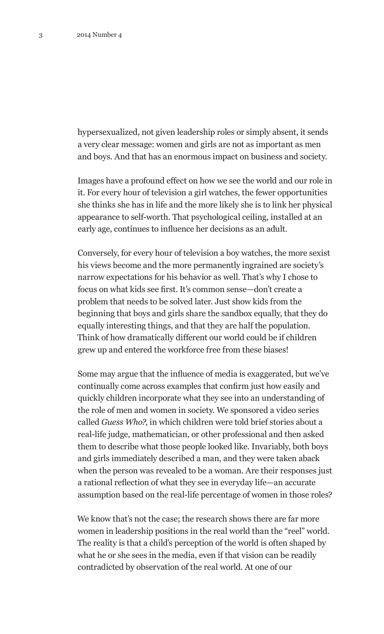hypersexualized, not given leadership roles or simply absent, it sends a very clear message: women and girls are not as important as men and boys. And that has an enormous impact on business and society.

Images have a profound effect on how we see the world and our role in it. For every hour of television a girl watches, the fewer opportunities she thinks she has in life and the more likely she is to link her physical appearance to self-worth. That psychological ceiling, installed at an early age, continues to influence her decisions as an adult.

Conversely, for every hour of television a boy watches, the more sexist his views become and the more permanently ingrained are society's narrow expectations for his behavior as well. That's why I chose to focus on what kids see first. It's common sense—don't create a problem that needs to be solved later. Just show kids from the beginning that boys and girls share the sandbox equally, that they do equally interesting things, and that they are half the population. Think of how dramatically different our world could be if children grew up and entered the workforce free from these biases!

Some may argue that the influence of media is exaggerated, but we've continually come across examples that confirm just how easily and quickly children incorporate what they see into an understanding of the role of men and women in society. We sponsored a video series called *Guess Who?*, in which children were told brief stories about a real-life judge, mathematician, or other professional and then asked them to describe what those people looked like. Invariably, both boys and girls immediately described a man, and they were taken aback when the person was revealed to be a woman. Are their responses just a rational reflection of what they see in everyday life—an accurate assumption based on the real-life percentage of women in those roles?

We know that's not the case; the research shows there are far more women in leadership positions in the real world than the "reel" world. The reality is that a child's perception of the world is often shaped by what he or she sees in the media, even if that vision can be readily contradicted by observation of the real world. At one of our